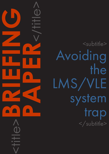<subtitle> Avoiding the LMS/VLE system trap </subtitle>

<title>**BRIEFING**

**PAPER**<br>CONSTRAINS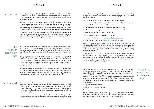#### CAPDM Ltd. CAPDM Ltd.

Introduction A Learning Management System (LMS) or Virtual Learning Environment (VLE) is needed to help course providers deliver teaching and learning programmes to students on-line. VLEs are therefore seen as pivotal to the implementation of such programmes.

> Choosing a VLE can be a very emotive issue. The selection process often involves passionate advocacy for some, compromise for others, and possibly even total dissatisfaction for a few. Many love-hate relationships with particular products or implementation strategies have resulted from this process, and some organisations have failed to see the selection process through cleanly as a result.

> Sometimes, concentrating excessively on the VLE technology can relegate the learning processes and innovation in learning into second place. Treating the choice of distance learning, blended learning or e-learning programme design as synonymous with the choice of VLE is a mistake.

> VLEs are transient technologies, and some people still debate whether a VLE is strictly necessary. However, without one, organisations still need some form of communications and delivery platform, to ensure that their learners get the best possible learning experience and that their expectations and requirements are met.

> Many organisations run web portals which link to multiple, independent, distributed information and administration services. These have the potential to act as a means of integrating the learning services required to support the needs of the students. However, something that is generally missing from VLEs is the latest service that staff are demanding – for example, in today's systems, Facebook and Twitter,

> e-Portfolio system or other new social software services. A formal VLE, particularly a proprietary system, may therefore restrict your ability to expand services to meet new requirements. So, how can a VLE become a friend, and how can an organisation avoid being trapped by its choice of VLE?

A VLE is effectively a web site that engages students in various learning activities. Generally there is a comprehensive set of management and delivery tools to allow on-line materials to be provided and consumed within a clear, organised structure. The overall environment provides students with easy access to course materials, on-line courseware, quizzes, self-assessment materials and communication tools.

Which is the best option? There is no single best option that suits all situations, otherwise all organisations would take that choice. However there are three bad approaches that must be avoided at all costs - specifically:

Which VLE is right for us: the Great Debate?

VLEs may be an essential component of on-line education, but they can also support and enhance traditional methods of location based teaching or training.

## VLE defined

# The transient technology trap

Indeed the VLE (or equivalent) has become an essential tool for universities, colleges and professional associations, and is challenging the role of intranets within corporations.

Learning, teaching and training on-line enables an organisation to:

- •Encourage self-directed learning and provide enhanced learner support in a cost-effective, efficient and flexible manner;
- •Complement traditional face to face group teaching or training;
- Relieve pressure on physical delivery space and other internal resources;
- •Meet the needs of a more diverse student body.

There are many VLE systems available - including:

- •Commercial offerings such as [Blackboard, Canvas, Totara.](https://www.canvasvle.co.uk/)
- •Open source systems such as [Moodle, Schoology, Absorb.](https://support.schoology.com/hc/en-us)

Some organisations choose to develop their own VLE systems internally – a ploy that spawned many of the commercial and open source offerings that we see today. Doing this significantly improves an organisation's ability to adapt and evolve the VLE, offering greater flexibility to improve the quality of the learning experience provided.

However, the cost of retaining such a development capability in-house is not insignificant - although it does have the strategic benefit of enabling the organisation to remain independent of any single VLE vendor or system, as well as making it easier to integrate the VLE with the wider managed learning environment employed by the organisation.

Many organisations have either been through the process of choosing the 'right' online learning environment, or are doing so at this point in time. What's more, many will be going through this process again in a few years time as they learn more about their learning support requirements and as they become more ambitious and innovative in their pedagogy. Significant amounts of time and money is spent (and possibly wasted) on trying to decide which system is right, yet the decisions open to an organisation are limited, as there are basically only three options:

- 1. Buy in a commercial system;
- 2. Adopt an open source offering;
- 3. Build your own.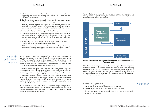

#### CAPDM Ltd. CAPDM Ltd.

- 1. Whatever choice an organisation makes it should be wholehearted about supporting that choice and making it a success – all options can be successful to some extent;
- 2. Developments must focus on the needs of the underlying learning processes, not be driven by the capabilities of the technology;
- 3. All materials should be developed outside the VLE (ideally using international standards such as XML), in order to offer as much future-proofing as possible and to ensure that materials are not tied to a particular product or media.

Why should the choice of a VLE be a potential trap? There are a few reasons.

- 1. Commercial companies do like to encourage their users to make maximum use of their solution, including offering product support for processes that are best conducted outside of the VLE - such as materials production, management and administration.
- 2. A poor choice of VLE can breed mediocrity, in that there is a tendency to develop only to the level that the tool readily allows.
- 3. A VLE is a big commitment considerable resource has to go into staffing, maintenance, training, user support, etc. and legacy lethargy can ensue.

## **Standards** and interoperability

Without standards, life would be very difficult. It is because of standards that we can phone world-wide, enjoy the depth of information developed for the WWW and watch TV from around the globe. IT has lots of standards that make integration of information and systems seamless (at times) and it is when standards don't exist that problems arise. Standards are important in VLEs, particularly with respect to content and administration.

- commit to making the most of the choice you have made;
- ensure that your VLE will allow you to rise above mediocrity;
- •develop and manage your materials outside of it using international standards where possible.

E-Learning content has been developed over many years now but degrades quickly with the rapidly changing technologies used to implement it. What has survived has required a constant effort to re-write it or re-develop it for new formats. When developing for a VLE, it is vital to ensure that content produced is transferable between systems – current and future. In an ideal world, there should be a simple way of transferring content (courseware, assessments, multiple choice tests, discussions, etc.) from one VLE to another. In fact, for the bulk of content, there is a relatively simple way but only if standards have been adopted and followed.

The benefits of using standards extend well beyond reusing learning materials more easily however. They can also be used to support higher-level actions, so that the processes of production, search, discovery and acquisition can all be delivered in a more semantic manner.



#### Figure 1: Illustrating the benefit of separating materials production from your VLE

VLEs also need to integrate successfully with an organisation's management information systems, for student enrolment, building class lists, collating assessment results, etc. It is therefore important when choosing a VLE to be aware that it must play an important role in the overall managed learning environment being employed, along with the necessary materials production and administration components.

In adopting a VLE, you should:

Figure 1 illustrates an approach you can take to produce and manage your learning materials separately from your VLE and to reuse them in multiple online VLEs and off-line learning environments.

Conclusion